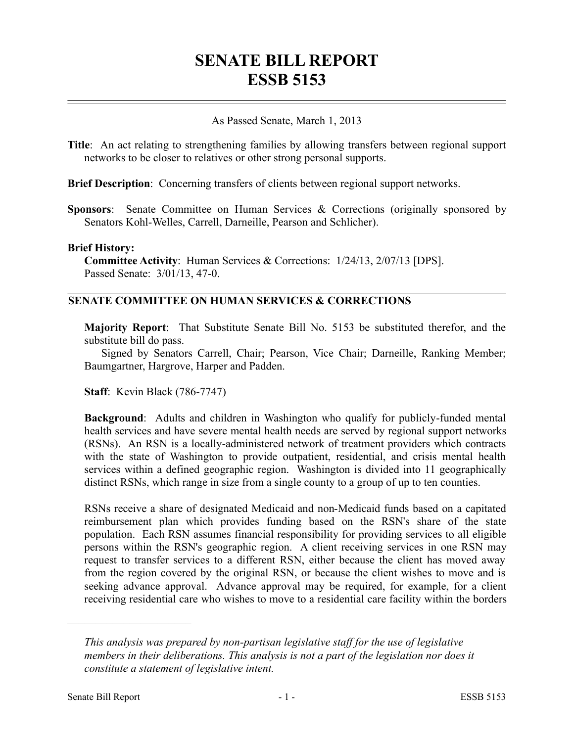# **SENATE BILL REPORT ESSB 5153**

### As Passed Senate, March 1, 2013

**Title**: An act relating to strengthening families by allowing transfers between regional support networks to be closer to relatives or other strong personal supports.

**Brief Description**: Concerning transfers of clients between regional support networks.

**Sponsors**: Senate Committee on Human Services & Corrections (originally sponsored by Senators Kohl-Welles, Carrell, Darneille, Pearson and Schlicher).

#### **Brief History:**

**Committee Activity**: Human Services & Corrections: 1/24/13, 2/07/13 [DPS]. Passed Senate: 3/01/13, 47-0.

# **SENATE COMMITTEE ON HUMAN SERVICES & CORRECTIONS**

**Majority Report**: That Substitute Senate Bill No. 5153 be substituted therefor, and the substitute bill do pass.

Signed by Senators Carrell, Chair; Pearson, Vice Chair; Darneille, Ranking Member; Baumgartner, Hargrove, Harper and Padden.

**Staff**: Kevin Black (786-7747)

**Background**: Adults and children in Washington who qualify for publicly-funded mental health services and have severe mental health needs are served by regional support networks (RSNs). An RSN is a locally-administered network of treatment providers which contracts with the state of Washington to provide outpatient, residential, and crisis mental health services within a defined geographic region. Washington is divided into 11 geographically distinct RSNs, which range in size from a single county to a group of up to ten counties.

RSNs receive a share of designated Medicaid and non-Medicaid funds based on a capitated reimbursement plan which provides funding based on the RSN's share of the state population. Each RSN assumes financial responsibility for providing services to all eligible persons within the RSN's geographic region. A client receiving services in one RSN may request to transfer services to a different RSN, either because the client has moved away from the region covered by the original RSN, or because the client wishes to move and is seeking advance approval. Advance approval may be required, for example, for a client receiving residential care who wishes to move to a residential care facility within the borders

––––––––––––––––––––––

*This analysis was prepared by non-partisan legislative staff for the use of legislative members in their deliberations. This analysis is not a part of the legislation nor does it constitute a statement of legislative intent.*